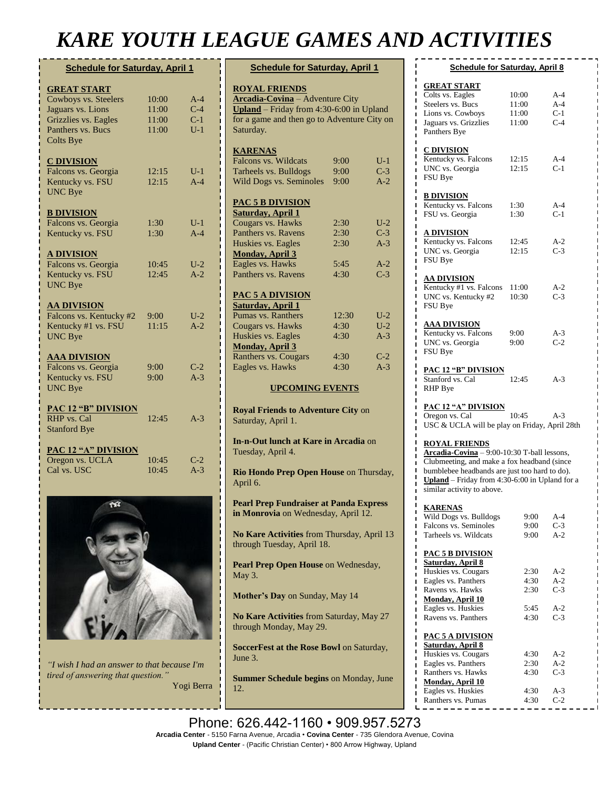## *KARE YOUTH LEAGUE GAMES AND ACTIVITIES*

| <b>Schedule for Saturday, April 1</b> |            |       |  |
|---------------------------------------|------------|-------|--|
| <b>GREAT START</b>                    |            |       |  |
| Cowboys vs. Steelers                  | 10:00      | $A-4$ |  |
| Jaguars vs. Lions                     | 11:00      | $C-4$ |  |
| Grizzlies vs. Eagles                  | 11:00      | $C-1$ |  |
| Panthers vs. Bucs                     | 11:00      | $U-1$ |  |
| <b>Colts Bye</b>                      |            |       |  |
| <b>C DIVISION</b>                     |            |       |  |
| Falcons vs. Georgia                   | 12:15      | $U-1$ |  |
| Kentucky vs. FSU                      | 12:15      | $A-4$ |  |
| <b>UNC Bye</b>                        |            |       |  |
| <b>B DIVISION</b>                     |            |       |  |
| Falcons vs. Georgia                   | 1:30       | $U-1$ |  |
| Kentucky vs. FSU                      | 1:30       | $A-4$ |  |
| <b>A DIVISION</b>                     |            |       |  |
| Falcons vs. Georgia                   | 10:45      | $U-2$ |  |
| Kentucky vs. FSU                      | 12:45      | $A-2$ |  |
| <b>UNC Bye</b>                        |            |       |  |
| <b>AA DIVISION</b>                    |            |       |  |
| Falcons vs. Kentucky #2               | $9:00^{-}$ | $U-2$ |  |
| Kentucky #1 vs. FSU                   | 11:15      | $A-2$ |  |
| <b>UNC Bye</b>                        |            |       |  |
| <b>AAA DIVISION</b>                   |            |       |  |
| Falcons vs. Georgia                   | 9:00       | $C-2$ |  |
| Kentucky vs. FSU                      | 9:00       | $A-3$ |  |
| <b>UNC Bye</b>                        |            |       |  |
| <b>PAC 12 "B" DIVISION</b>            |            |       |  |
| RHP vs. Cal                           | 12:45      | $A-3$ |  |
| <b>Stanford Bye</b>                   |            |       |  |
| <b>PAC 12 "A" DIVISION</b>            |            |       |  |
| Oregon vs. UCLA                       | 10:45      | $C-2$ |  |
| Cal vs. USC                           | 10:45      | $A-3$ |  |



*"I wish I had an answer to that because I'm tired of answering that question."* Yogi Berra

| <b>Schedule for Saturday, April 1</b>                                                       |            |       |  |  |
|---------------------------------------------------------------------------------------------|------------|-------|--|--|
| <b>ROYAL FRIENDS</b>                                                                        |            |       |  |  |
| <b>Arcadia-Covina</b> - Adventure City                                                      |            |       |  |  |
| <b>Upland</b> – Friday from $4:30-6:00$ in Upland                                           |            |       |  |  |
| for a game and then go to Adventure City on                                                 |            |       |  |  |
| Saturday.                                                                                   |            |       |  |  |
| <b>KARENAS</b>                                                                              |            |       |  |  |
| Falcons vs. Wildcats                                                                        | $9:00^{-}$ | $U-1$ |  |  |
| Tarheels vs. Bulldogs                                                                       | $9:00^{-}$ | $C-3$ |  |  |
| Wild Dogs vs. Seminoles                                                                     | 9:00       | $A-2$ |  |  |
|                                                                                             |            |       |  |  |
| <b>PAC 5 B DIVISION</b>                                                                     |            |       |  |  |
| <b>Saturday, April 1</b>                                                                    |            |       |  |  |
| Cougars vs. Hawks                                                                           | 2:30       | $U-2$ |  |  |
| Panthers vs. Ravens                                                                         | 2:30       | $C-3$ |  |  |
| Huskies vs. Eagles                                                                          | 2:30       | $A-3$ |  |  |
| <b>Monday, April 3</b><br>Eagles vs. Hawks                                                  | 5:45       | $A-2$ |  |  |
| Panthers vs. Ravens                                                                         | 4:30       | $C-3$ |  |  |
|                                                                                             |            |       |  |  |
| PAC 5 A DIVISION                                                                            |            |       |  |  |
| <b>Saturday, April 1</b>                                                                    |            |       |  |  |
| Pumas vs. Ranthers                                                                          | 12:30      | $U-2$ |  |  |
| Cougars vs. Hawks                                                                           | 4:30       | $U-2$ |  |  |
| Huskies vs. Eagles                                                                          | 4:30       | $A-3$ |  |  |
| <b>Monday, April 3</b>                                                                      |            |       |  |  |
| Ranthers vs. Cougars                                                                        | 4:30       | $C-2$ |  |  |
| Eagles vs. Hawks                                                                            | 4:30       | $A-3$ |  |  |
| <b>UPCOMING EVENTS</b>                                                                      |            |       |  |  |
|                                                                                             |            |       |  |  |
| <b>Royal Friends to Adventure City on</b><br>Saturday, April 1.                             |            |       |  |  |
| In-n-Out lunch at Kare in Arcadia on                                                        |            |       |  |  |
| Tuesday, April 4.                                                                           |            |       |  |  |
| Rio Hondo Prep Open House on Thursday,<br>April 6.                                          |            |       |  |  |
| <b>Pearl Prep Fundraiser at Panda Express</b><br><b>in Monrovia</b> on Wednesday, April 12. |            |       |  |  |
| No Kare Activities from Thursday, April 13<br>through Tuesday, April 18.                    |            |       |  |  |
| Pearl Prep Open House on Wednesday,<br>May 3.                                               |            |       |  |  |
| Mother's Day on Sunday, May 14                                                              |            |       |  |  |
| No Kare Activities from Saturday, May 27<br>through Monday, May 29.                         |            |       |  |  |
| SoccerFest at the Rose Bowl on Saturday,<br>June 3.                                         |            |       |  |  |
| <b>Summer Schedule begins on Monday, June</b><br>12.                                        |            |       |  |  |

| <b>Schedule for Saturday, April 8</b>            |                                             |       |  |  |  |
|--------------------------------------------------|---------------------------------------------|-------|--|--|--|
|                                                  |                                             |       |  |  |  |
| <b>GREAT START</b>                               |                                             |       |  |  |  |
| Colts vs. Eagles                                 | 10:00                                       | $A-4$ |  |  |  |
| Steelers vs. Bucs                                | 11:00                                       | $A-4$ |  |  |  |
| Lions vs. Cowboys                                | 11:00                                       | $C-1$ |  |  |  |
| Jaguars vs. Grizzlies                            | 11:00                                       | $C-4$ |  |  |  |
| Panthers Bye                                     |                                             |       |  |  |  |
|                                                  |                                             |       |  |  |  |
| C DIVISION                                       |                                             |       |  |  |  |
| Kentucky vs. Falcons                             | 12:15                                       | A-4   |  |  |  |
| UNC vs. Georgia                                  | 12:15                                       | $C-1$ |  |  |  |
| FSU Bye                                          |                                             |       |  |  |  |
|                                                  |                                             |       |  |  |  |
| <b>B DIVISION</b>                                |                                             |       |  |  |  |
| Kentucky vs. Falcons                             | 1:30                                        | $A-4$ |  |  |  |
| FSU vs. Georgia                                  | 1:30                                        | $C-1$ |  |  |  |
|                                                  |                                             |       |  |  |  |
| <u>A DIVISION</u><br>Kentucky vs. Falcons        | 12:45                                       | A-2   |  |  |  |
| UNC vs. Georgia                                  | 12:15                                       | $C-3$ |  |  |  |
| FSU Bye                                          |                                             |       |  |  |  |
|                                                  |                                             |       |  |  |  |
| <b>AA DIVISION</b>                               |                                             |       |  |  |  |
| Kentucky #1 vs. Falcons                          | 11:00                                       | $A-2$ |  |  |  |
| UNC vs. Kentucky #2                              | 10:30                                       | $C-3$ |  |  |  |
| FSU Bye                                          |                                             |       |  |  |  |
|                                                  |                                             |       |  |  |  |
| AAA DIVISION                                     |                                             |       |  |  |  |
| Kentucky vs. Falcons                             | 9:00                                        | $A-3$ |  |  |  |
| UNC vs. Georgia                                  | 9:00                                        | $C-2$ |  |  |  |
| FSU Bye                                          |                                             |       |  |  |  |
|                                                  |                                             |       |  |  |  |
| <b>PAC 12 "B" DIVISION</b>                       |                                             |       |  |  |  |
| Stanford vs. Cal                                 | 12:45                                       | $A-3$ |  |  |  |
| <b>RHP</b> Bye                                   |                                             |       |  |  |  |
|                                                  |                                             |       |  |  |  |
| <u>PAC 12 "A" DIVISION</u><br>Oregon vs. Cal     | 10:45                                       | $A-3$ |  |  |  |
| USC & UCLA will be play on Friday, April 28th    |                                             |       |  |  |  |
|                                                  |                                             |       |  |  |  |
| <b>ROYAL FRIENDS</b>                             |                                             |       |  |  |  |
| Arcadia-Covina - 9:00-10:30 T-ball lessons,      |                                             |       |  |  |  |
|                                                  | Clubmeeting, and make a fox headband (since |       |  |  |  |
| bumblebee headbands are just too hard to do).    |                                             |       |  |  |  |
| Upland - Friday from $4:30-6:00$ in Upland for a |                                             |       |  |  |  |
| similar activity to above.                       |                                             |       |  |  |  |
| ı                                                |                                             |       |  |  |  |
| <b>KARENAS</b><br>ı                              |                                             |       |  |  |  |
| Wild Dogs vs. Bulldogs                           | 9:00                                        | A-4   |  |  |  |
| Falcons vs. Seminoles                            | 9:00                                        | $C-3$ |  |  |  |
| Tarheels vs. Wildcats                            | 9:00                                        | $A-2$ |  |  |  |
| <b>PAC 5 B DIVISION</b>                          |                                             |       |  |  |  |
| Saturday, April 8                                |                                             |       |  |  |  |
| Huskies vs. Cougars                              | 2:30                                        | A-2   |  |  |  |
| Eagles vs. Panthers                              | 4:30                                        | $A-2$ |  |  |  |
| ı<br>Ravens vs. Hawks                            | 2:30                                        | $C-3$ |  |  |  |
| Monday, April 10                                 |                                             |       |  |  |  |
| Eagles vs. Huskies                               | 5:45                                        | $A-2$ |  |  |  |
| Ravens vs. Panthers                              | 4:30                                        | $C-3$ |  |  |  |
|                                                  |                                             |       |  |  |  |
| <b>PAC 5 A DIVISION</b>                          |                                             |       |  |  |  |
| Saturday, April 8                                |                                             |       |  |  |  |
| Huskies vs. Cougars                              | 4:30                                        | A-2   |  |  |  |
| Eagles vs. Panthers                              | 2:30                                        | $A-2$ |  |  |  |
| Ranthers vs. Hawks                               | 4:30                                        | $C-3$ |  |  |  |
| Monday, April 10                                 |                                             |       |  |  |  |
| Eagles vs. Huskies                               | 4:30                                        | $A-3$ |  |  |  |
| Ranthers vs. Pumas<br>ı                          | 4:30                                        | $C-2$ |  |  |  |

Phone: 626.442-1160 • 909.957.5273 **Arcadia Center** - 5150 Farna Avenue, Arcadia • **Covina Center** - 735 Glendora Avenue, Covina **Upland Center** - (Pacific Christian Center) • 800 Arrow Highway, Upland